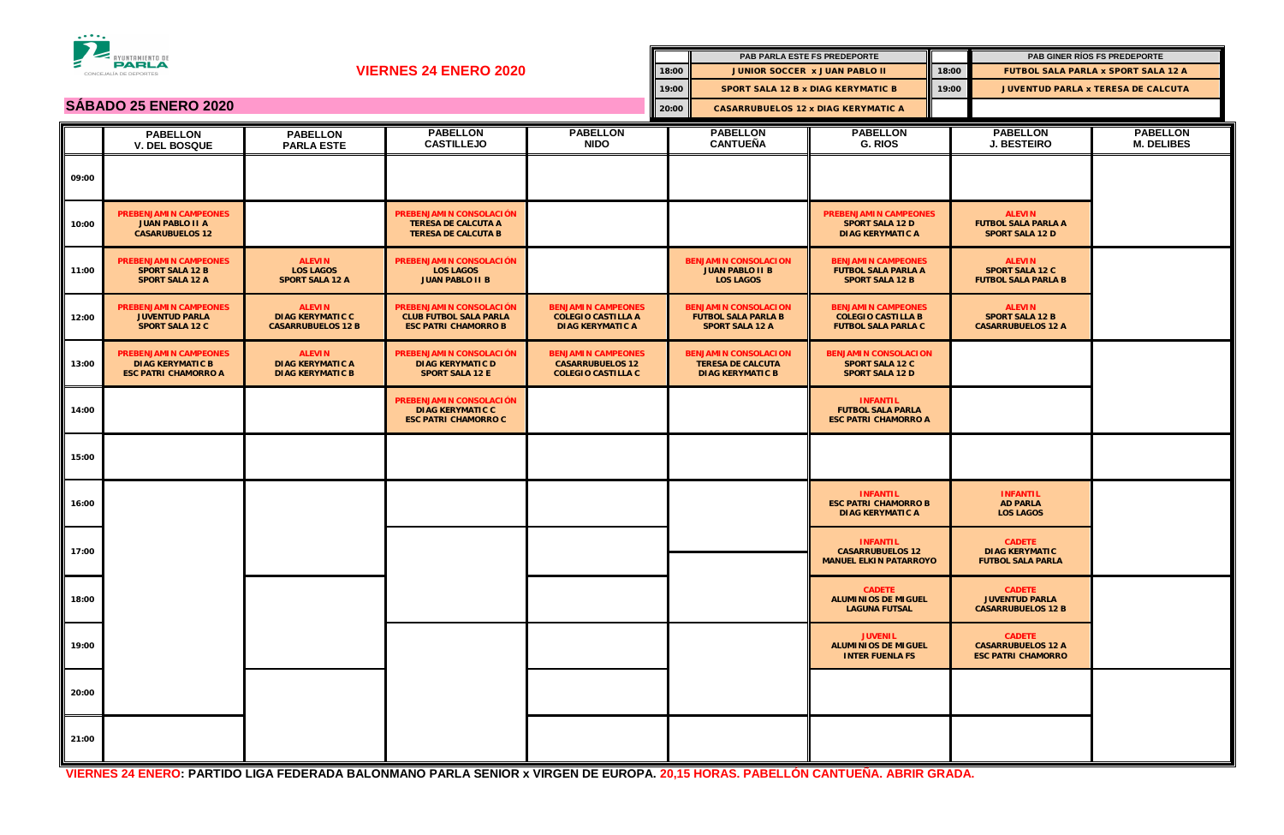| <b>EXPLANENTO DE</b>        |                                                                                        |                                                                       |                                                                                         |                                                                                   |                                            | PAB PARLA ESTE FS PREDEPORTE                                                        |                                                                                      |       |                                                                         | PAB GINER RÍOS FS PREDEPORTE         |
|-----------------------------|----------------------------------------------------------------------------------------|-----------------------------------------------------------------------|-----------------------------------------------------------------------------------------|-----------------------------------------------------------------------------------|--------------------------------------------|-------------------------------------------------------------------------------------|--------------------------------------------------------------------------------------|-------|-------------------------------------------------------------------------|--------------------------------------|
|                             | CONCEJALÍA DE DEPORTES                                                                 | <b>VIERNES 24 ENERO 2020</b>                                          |                                                                                         |                                                                                   | 18:00                                      | <b>JUNIOR SOCCER X JUAN PABLO II</b>                                                |                                                                                      | 18:00 | <b>FUTBOL SALA PARLA x SPORT SALA 12 A</b>                              |                                      |
|                             |                                                                                        |                                                                       |                                                                                         |                                                                                   | 19:00                                      |                                                                                     | <b>SPORT SALA 12 B x DIAG KERYMATIC B</b>                                            |       | JUVENTUD PARLA x TERESA DE CALCUTA                                      |                                      |
| <b>SÁBADO 25 ENERO 2020</b> |                                                                                        |                                                                       |                                                                                         | 20:00                                                                             | <b>CASARRUBUELOS 12 x DIAG KERYMATIC A</b> |                                                                                     |                                                                                      |       |                                                                         |                                      |
|                             | <b>PABELLON</b><br><b>V. DEL BOSQUE</b>                                                | <b>PABELLON</b><br><b>PARLA ESTE</b>                                  | <b>PABELLON</b><br><b>CASTILLEJO</b>                                                    | <b>PABELLON</b><br><b>NIDO</b>                                                    |                                            | <b>PABELLON</b><br><b>CANTUEÑA</b>                                                  | <b>PABELLON</b><br>G. RIOS                                                           |       | <b>PABELLON</b><br><b>J. BESTEIRO</b>                                   | <b>PABELLON</b><br><b>M. DELIBES</b> |
| 09:00                       |                                                                                        |                                                                       |                                                                                         |                                                                                   |                                            |                                                                                     |                                                                                      |       |                                                                         |                                      |
| 10:00                       | <b>PREBENJAMIN CAMPEONES</b><br><b>JUAN PABLO II A</b><br><b>CASARUBUELOS 12</b>       |                                                                       | PREBENJAMIN CONSOLACIÓN<br><b>TERESA DE CALCUTA A</b><br><b>TERESA DE CALCUTA B</b>     |                                                                                   |                                            |                                                                                     | <b>PREBENJAMIN CAMPEONES</b><br><b>SPORT SALA 12 D</b><br><b>DIAG KERYMATIC A</b>    |       | <b>ALEVIN</b><br><b>FUTBOL SALA PARLA A</b><br><b>SPORT SALA 12 D</b>   |                                      |
| 11:00                       | <b>PREBENJAMIN CAMPEONES</b><br><b>SPORT SALA 12 B</b><br><b>SPORT SALA 12 A</b>       | <b>ALEVIN</b><br><b>LOS LAGOS</b><br><b>SPORT SALA 12 A</b>           | PREBENJAMIN CONSOLACIÓN<br><b>LOS LAGOS</b><br><b>JUAN PABLO II B</b>                   |                                                                                   |                                            | <b>BENJAMIN CONSOLACION</b><br><b>JUAN PABLO II B</b><br><b>LOS LAGOS</b>           | <b>BENJAMIN CAMPEONES</b><br><b>FUTBOL SALA PARLA A</b><br><b>SPORT SALA 12 B</b>    |       | <b>ALEVIN</b><br><b>SPORT SALA 12 C</b><br><b>FUTBOL SALA PARLA B</b>   |                                      |
| 12:00                       | <b>PREBENJAMIN CAMPEONES</b><br><b>JUVENTUD PARLA</b><br><b>SPORT SALA 12 C</b>        | <b>ALEVIN</b><br><b>DIAG KERYMATIC C</b><br><b>CASARRUBUELOS 12 B</b> | PREBENJAMIN CONSOLACIÓN<br><b>CLUB FUTBOL SALA PARLA</b><br><b>ESC PATRI CHAMORRO B</b> | <b>BENJAMIN CAMPEONES</b><br><b>COLEGIO CASTILLA A</b><br><b>DIAG KERYMATIC A</b> |                                            | <b>BENJAMIN CONSOLACION</b><br><b>FUTBOL SALA PARLA B</b><br><b>SPORT SALA 12 A</b> | <b>BENJAMIN CAMPEONES</b><br><b>COLEGIO CASTILLA B</b><br><b>FUTBOL SALA PARLA C</b> |       | <b>ALEVIN</b><br><b>SPORT SALA 12 B</b><br><b>CASARRUBUELOS 12 A</b>    |                                      |
| 13:00                       | <b>PREBENJAMIN CAMPEONES</b><br><b>DIAG KERYMATIC B</b><br><b>ESC PATRI CHAMORRO A</b> | <b>ALEVIN</b><br><b>DIAG KERYMATIC A</b><br><b>DIAG KERYMATIC B</b>   | PREBENJAMIN CONSOLACIÓN<br><b>DIAG KERYMATIC D</b><br><b>SPORT SALA 12 E</b>            | <b>BENJAMIN CAMPEONES</b><br><b>CASARRUBUELOS 12</b><br><b>COLEGIO CASTILLA C</b> |                                            | <b>BENJAMIN CONSOLACION</b><br><b>TERESA DE CALCUTA</b><br><b>DIAG KERYMATIC B</b>  | <b>BENJAMIN CONSOLACION</b><br><b>SPORT SALA 12 C</b><br><b>SPORT SALA 12 D</b>      |       |                                                                         |                                      |
| 14:00                       |                                                                                        |                                                                       | PREBENJAMIN CONSOLACIÓN<br><b>DIAG KERYMATIC C</b><br><b>ESC PATRI CHAMORRO C</b>       |                                                                                   |                                            |                                                                                     | <b>INFANTIL</b><br><b>FUTBOL SALA PARLA</b><br><b>ESC PATRI CHAMORRO A</b>           |       |                                                                         |                                      |
| 15:00                       |                                                                                        |                                                                       |                                                                                         |                                                                                   |                                            |                                                                                     |                                                                                      |       |                                                                         |                                      |
| 16:00                       |                                                                                        |                                                                       |                                                                                         |                                                                                   |                                            |                                                                                     | <b>INFANTIL</b><br><b>ESC PATRI CHAMORRO B</b><br><b>DIAG KERYMATIC A</b>            |       | <b>INFANTIL</b><br><b>AD PARLA</b><br><b>LOS LAGOS</b>                  |                                      |
| 17:00                       |                                                                                        |                                                                       |                                                                                         |                                                                                   |                                            |                                                                                     | <b>INFANTIL</b><br><b>CASARRUBUELOS 12</b><br><b>MANUEL ELKIN PATARROYO</b>          |       | <b>CADETE</b><br><b>DIAG KERYMATIC</b><br><b>FUTBOL SALA PARLA</b>      |                                      |
| 18:00                       |                                                                                        |                                                                       |                                                                                         |                                                                                   |                                            |                                                                                     | <b>CADETE</b><br><b>ALUMINIOS DE MIGUEL</b><br><b>LAGUNA FUTSAL</b>                  |       | <b>CADETE</b><br><b>JUVENTUD PARLA</b><br><b>CASARRUBUELOS 12 B</b>     |                                      |
| 19:00                       |                                                                                        |                                                                       |                                                                                         |                                                                                   |                                            |                                                                                     | <b>JUVENIL</b><br><b>ALUMINIOS DE MIGUEL</b><br><b>INTER FUENLA FS</b>               |       | <b>CADETE</b><br><b>CASARRUBUELOS 12 A</b><br><b>ESC PATRI CHAMORRO</b> |                                      |
| 20:00                       |                                                                                        |                                                                       |                                                                                         |                                                                                   |                                            |                                                                                     |                                                                                      |       |                                                                         |                                      |
| 21:00                       |                                                                                        |                                                                       |                                                                                         |                                                                                   |                                            |                                                                                     |                                                                                      |       |                                                                         |                                      |



|       |                                                                                     | <b>PAB PARLA ESTE FS PREDEPORTE</b>                                                  |  |                                                                         | <b>PAB GINER RÍOS FS PREDEPORTE</b>        |  |  |
|-------|-------------------------------------------------------------------------------------|--------------------------------------------------------------------------------------|--|-------------------------------------------------------------------------|--------------------------------------------|--|--|
| 18:00 | <b>JUNIOR SOCCER X JUAN PABLO II</b>                                                |                                                                                      |  | 18:00                                                                   | <b>FUTBOL SALA PARLA x SPORT SALA 12 A</b> |  |  |
| 19:00 | <b>SPORT SALA 12 B x DIAG KERYMATIC B</b>                                           |                                                                                      |  | 19:00                                                                   | <b>JUVENTUD PARLA x TERESA DE CALCUTA</b>  |  |  |
| 20:00 |                                                                                     | <b>CASARRUBUELOS 12 x DIAG KERYMATIC A</b>                                           |  |                                                                         |                                            |  |  |
|       | <b>PABELLON</b><br><b>CANTUEÑA</b>                                                  | <b>PABELLON</b><br>G. RIOS                                                           |  | <b>PABELLON</b><br><b>J. BESTEIRO</b>                                   | <b>PABELLON</b><br><b>M. DELIBES</b>       |  |  |
|       |                                                                                     |                                                                                      |  |                                                                         |                                            |  |  |
|       |                                                                                     | <b>PREBENJAMIN CAMPEONES</b><br><b>SPORT SALA 12 D</b><br><b>DIAG KERYMATIC A</b>    |  | <b>ALEVIN</b><br><b>FUTBOL SALA PARLA A</b><br><b>SPORT SALA 12 D</b>   |                                            |  |  |
|       | <b>BENJAMIN CONSOLACION</b><br><b>JUAN PABLO II B</b><br><b>LOS LAGOS</b>           | <b>BENJAMIN CAMPEONES</b><br><b>FUTBOL SALA PARLA A</b><br><b>SPORT SALA 12 B</b>    |  | <b>ALEVIN</b><br><b>SPORT SALA 12 C</b><br><b>FUTBOL SALA PARLA B</b>   |                                            |  |  |
|       | <b>BENJAMIN CONSOLACION</b><br><b>FUTBOL SALA PARLA B</b><br><b>SPORT SALA 12 A</b> | <b>BENJAMIN CAMPEONES</b><br><b>COLEGIO CASTILLA B</b><br><b>FUTBOL SALA PARLA C</b> |  | <b>ALEVIN</b><br><b>SPORT SALA 12 B</b><br><b>CASARRUBUELOS 12 A</b>    |                                            |  |  |
|       | <b>BENJAMIN CONSOLACION</b><br><b>TERESA DE CALCUTA</b><br><b>DIAG KERYMATIC B</b>  | <b>BENJAMIN CONSOLACION</b><br><b>SPORT SALA 12 C</b><br><b>SPORT SALA 12 D</b>      |  |                                                                         |                                            |  |  |
|       |                                                                                     | <b>INFANTIL</b><br><b>FUTBOL SALA PARLA</b><br><b>ESC PATRI CHAMORRO A</b>           |  |                                                                         |                                            |  |  |
|       |                                                                                     |                                                                                      |  |                                                                         |                                            |  |  |
|       |                                                                                     | <b>INFANTIL</b><br><b>ESC PATRI CHAMORRO B</b><br><b>DIAG KERYMATIC A</b>            |  | <b>INFANTIL</b><br><b>AD PARLA</b><br><b>LOS LAGOS</b>                  |                                            |  |  |
|       |                                                                                     | <b>INFANTIL</b><br><b>CASARRUBUELOS 12</b><br><b>MANUEL ELKIN PATARROYO</b>          |  | <b>CADETE</b><br><b>DIAG KERYMATIC</b><br><b>FUTBOL SALA PARLA</b>      |                                            |  |  |
|       |                                                                                     | <b>CADETE</b><br><b>ALUMINIOS DE MIGUEL</b><br><b>LAGUNA FUTSAL</b>                  |  | <b>CADETE</b><br><b>JUVENTUD PARLA</b><br><b>CASARRUBUELOS 12 B</b>     |                                            |  |  |
|       |                                                                                     | <b>JUVENIL</b><br><b>ALUMINIOS DE MIGUEL</b><br><b>INTER FUENLA FS</b>               |  | <b>CADETE</b><br><b>CASARRUBUELOS 12 A</b><br><b>ESC PATRI CHAMORRO</b> |                                            |  |  |
|       |                                                                                     |                                                                                      |  |                                                                         |                                            |  |  |
|       |                                                                                     |                                                                                      |  |                                                                         |                                            |  |  |

**VIERNES 24 ENERO: PARTIDO LIGA FEDERADA BALONMANO PARLA SENIOR x VIRGEN DE EUROPA. 20,15 HORAS. PABELLÓN CANTUEÑA. ABRIR GRADA.**